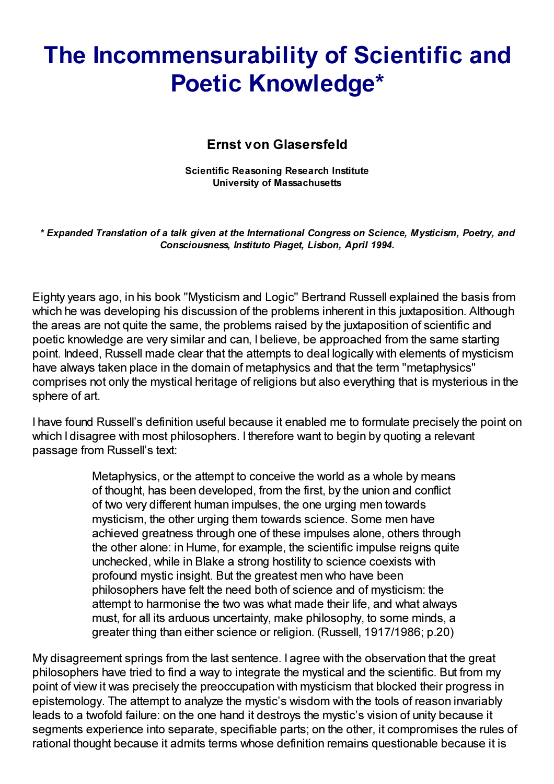## The Incommensurability of Scientific and Poetic Knowledge\*

## Ernst von Glasersfeld

Scientific Reasoning Research Institute University of Massachusetts

\* Expanded Translation of a talk given at the International Congress on Science, Mysticism, Poetry, and Consciousness, Instituto Piaget, Lisbon, April 1994.

Eighty years ago, in his book "Mysticism and Logic" Bertrand Russell explained the basis from which he was developing his discussion of the problems inherent in this juxtaposition. Although the areas are not quite the same, the problems raised by the juxtaposition of scientific and poetic knowledge are very similar and can, I believe, be approached from the same starting point. Indeed, Russell made clear that the attempts to deal logically with elements of mysticism have always taken place in the domain of metaphysics and that the term "metaphysics" comprises not only the mystical heritage of religions but also everything that is mysterious in the sphere of art.

I have found Russell's definition useful because it enabled me to formulate precisely the point on which I disagree with most philosophers. I therefore want to begin by quoting a relevant passage from Russell's text:

> Metaphysics, or the attempt to conceive the world as a whole by means of thought, has been developed, from the first, by the union and conflict of two very different human impulses, the one urging men towards mysticism, the other urging them towards science. Some men have achieved greatness through one of these impulses alone, others through the other alone: in Hume, for example, the scientific impulse reigns quite unchecked, while in Blake a strong hostility to science coexists with profound mystic insight. But the greatest men who have been philosophers have felt the need both of science and of mysticism: the attempt to harmonise the two was what made their life, and what always must, for all its arduous uncertainty, make philosophy, to some minds, a greater thing than either science or religion. (Russell, 1917/1986; p.20)

My disagreement springs from the last sentence. I agree with the observation that the great philosophers have tried to find a way to integrate the mystical and the scientific. But from my point of view it was precisely the preoccupation with mysticism that blocked their progress in epistemology. The attempt to analyze the mystic's wisdom with the tools of reason invariably leads to a twofold failure: on the one hand it destroys the mystic's vision of unity because it segments experience into separate, specifiable parts; on the other, it compromises the rules of rational thought because it admits terms whose definition remains questionable because it is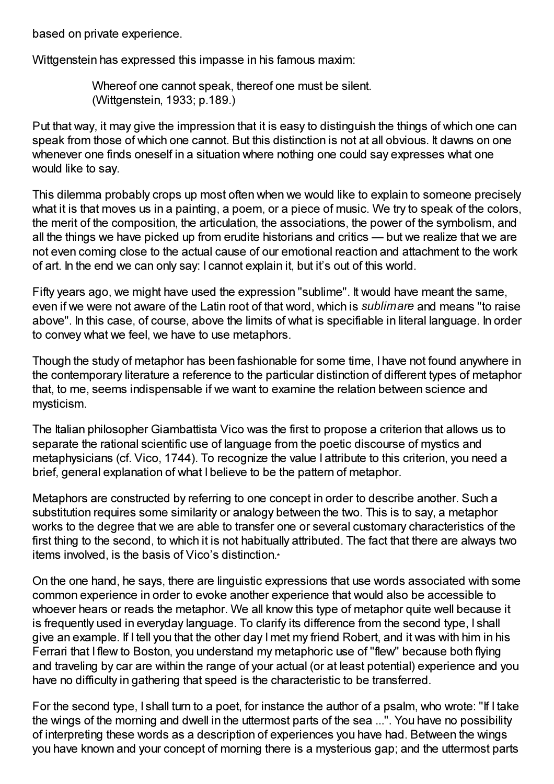based on private experience.

Wittgenstein has expressed this impasse in his famous maxim:

Whereof one cannot speak, thereof one must be silent. (Wittgenstein, 1933; p.189.)

Put that way, it may give the impression that it is easy to distinguish the things of which one can speak from those of which one cannot. But this distinction is not at all obvious. It dawns on one whenever one finds oneself in a situation where nothing one could say expresses what one would like to say.

This dilemma probably crops up most often when we would like to explain to someone precisely what it is that moves us in a painting, a poem, or a piece of music. We try to speak of the colors, the merit of the composition, the articulation, the associations, the power of the symbolism, and all the things we have picked up from erudite historians and critics — but we realize that we are not even coming close to the actual cause of our emotional reaction and attachment to the work of art. In the end we can only say: I cannot explain it, but it's out of this world.

Fifty years ago, we might have used the expression "sublime". It would have meant the same, even if we were not aware of the Latin root of that word, which is sublimare and means "to raise above". In this case, of course, above the limits of what is specifiable in literal language. In order to convey what we feel, we have to use metaphors.

Though the study of metaphor has been fashionable for some time, I have not found anywhere in the contemporary literature a reference to the particular distinction of different types of metaphor that, to me, seems indispensable if we want to examine the relation between science and mysticism.

The Italian philosopher Giambattista Vico was the first to propose a criterion that allows us to separate the rational scientific use of language from the poetic discourse of mystics and metaphysicians (cf. Vico, 1744). To recognize the value I attribute to this criterion, you need a brief, general explanation of what I believe to be the pattern of metaphor.

Metaphors are constructed by referring to one concept in order to describe another. Such a substitution requires some similarity or analogy between the two. This is to say, a metaphor works to the degree that we are able to transfer one or several customary characteristics of the first thing to the second, to which it is not habitually attributed. The fact that there are always two items involved, is the basis of Vico's distinction.\*

On the one hand, he says, there are linguistic expressions that use words associated with some common experience in order to evoke another experience that would also be accessible to whoever hears or reads the metaphor. We all know this type of metaphor quite well because it is frequently used in everyday language. To clarify its difference from the second type, I shall give an example. If I tell you that the other day I met my friend Robert, and it was with him in his Ferrari that I flew to Boston, you understand my metaphoric use of "flew" because both flying and traveling by car are within the range of your actual (or at least potential) experience and you have no difficulty in gathering that speed is the characteristic to be transferred.

For the second type, I shall turn to a poet, for instance the author of a psalm, who wrote: "If I take the wings of the morning and dwell in the uttermost parts of the sea ...". You have no possibility of interpreting these words as a description of experiences you have had. Between the wings you have known and your concept of morning there is a mysterious gap; and the uttermost parts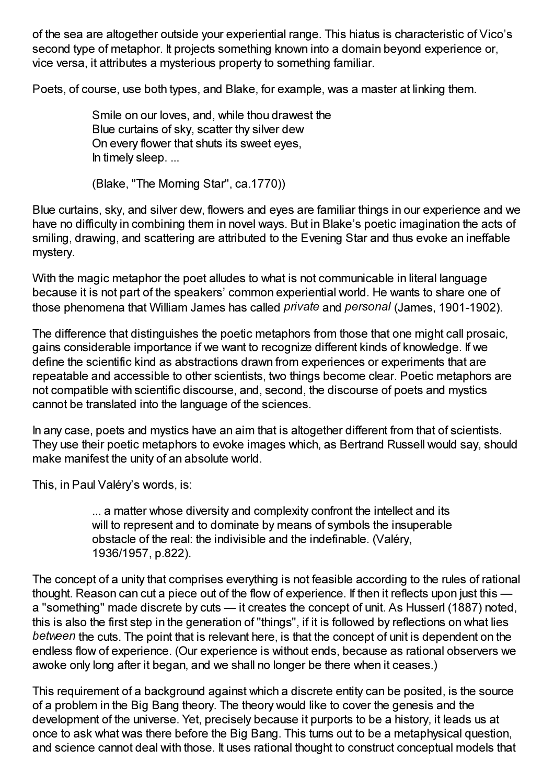of the sea are altogether outside your experiential range. This hiatus is characteristic of Vico's second type of metaphor. It projects something known into a domain beyond experience or, vice versa, it attributes a mysterious property to something familiar.

Poets, of course, use both types, and Blake, for example, was a master at linking them.

Smile on our loves, and, while thou drawest the Blue curtains of sky, scatter thy silver dew On every flower that shuts its sweet eyes, In timely sleep. ...

(Blake, "The Morning Star", ca.1770))

Blue curtains, sky, and silver dew, flowers and eyes are familiar things in our experience and we have no difficulty in combining them in novel ways. But in Blake's poetic imagination the acts of smiling, drawing, and scattering are attributed to the Evening Star and thus evoke an ineffable mystery.

With the magic metaphor the poet alludes to what is not communicable in literal language because it is not part of the speakers' common experiential world. He wants to share one of those phenomena that William James has called private and personal (James, 1901-1902).

The difference that distinguishes the poetic metaphors from those that one might call prosaic, gains considerable importance if we want to recognize different kinds of knowledge. If we define the scientific kind as abstractions drawn from experiences or experiments that are repeatable and accessible to other scientists, two things become clear. Poetic metaphors are not compatible with scientific discourse, and, second, the discourse of poets and mystics cannot be translated into the language of the sciences.

In any case, poets and mystics have an aim that is altogether different from that of scientists. They use their poetic metaphors to evoke images which, as Bertrand Russell would say, should make manifest the unity of an absolute world.

This, in Paul Valéry's words, is:

... a matter whose diversity and complexity confront the intellect and its will to represent and to dominate by means of symbols the insuperable obstacle of the real: the indivisible and the indefinable. (Valéry, 1936/1957, p.822).

The concept of a unity that comprises everything is not feasible according to the rules of rational thought. Reason can cut a piece out of the flow of experience. If then it reflects upon just this a "something" made discrete by cuts — it creates the concept of unit. As Husserl (1887) noted, this is also the first step in the generation of "things", if it is followed by reflections on what lies between the cuts. The point that is relevant here, is that the concept of unit is dependent on the endless flow of experience. (Our experience is without ends, because as rational observers we awoke only long after it began, and we shall no longer be there when it ceases.)

This requirement of a background against which a discrete entity can be posited, is the source of a problem in the Big Bang theory. The theory would like to cover the genesis and the development of the universe. Yet, precisely because it purports to be a history, it leads us at once to ask what was there before the Big Bang. This turns out to be a metaphysical question, and science cannot deal with those. It uses rational thought to construct conceptual models that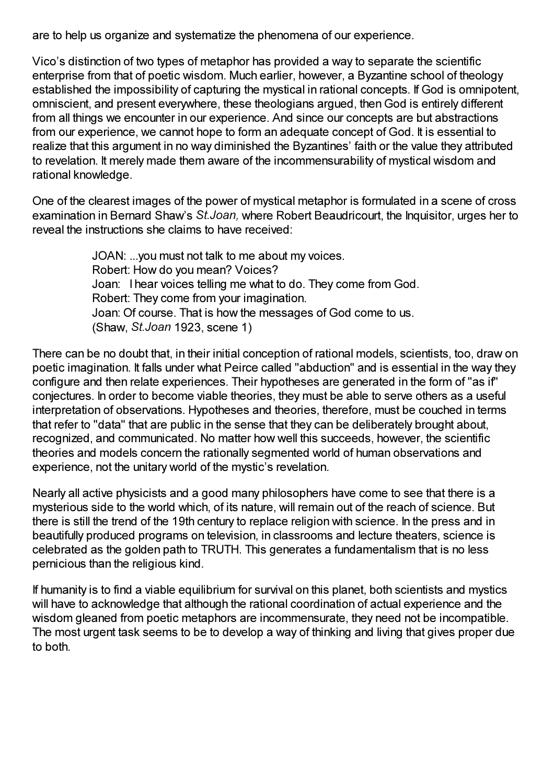are to help us organize and systematize the phenomena of our experience.

Vico's distinction of two types of metaphor has provided a way to separate the scientific enterprise from that of poetic wisdom. Much earlier, however, a Byzantine school of theology established the impossibility of capturing the mystical in rational concepts. If God is omnipotent, omniscient, and present everywhere, these theologians argued, then God is entirely different from all things we encounter in our experience. And since our concepts are but abstractions from our experience, we cannot hope to form an adequate concept of God. It is essential to realize that this argument in no way diminished the Byzantines' faith or the value they attributed to revelation. It merely made them aware of the incommensurability of mystical wisdom and rational knowledge.

One of the clearest images of the power of mystical metaphor is formulated in a scene of cross examination in Bernard Shaw's St.Joan, where Robert Beaudricourt, the Inquisitor, urges her to reveal the instructions she claims to have received:

> JOAN: ...you must not talk to me about my voices. Robert: How do you mean? Voices? Joan: I hear voices telling me what to do. They come from God. Robert: They come from your imagination. Joan: Of course. That is how the messages of God come to us. (Shaw, St.Joan 1923, scene 1)

There can be no doubt that, in their initial conception of rational models, scientists, too, draw on poetic imagination. It falls under what Peirce called "abduction" and is essential in the way they configure and then relate experiences. Their hypotheses are generated in the form of "as if" conjectures. In order to become viable theories, they must be able to serve others as a useful interpretation of observations. Hypotheses and theories, therefore, must be couched in terms that refer to "data" that are public in the sense that they can be deliberately brought about, recognized, and communicated. No matter how well this succeeds, however, the scientific theories and models concern the rationally segmented world of human observations and experience, not the unitary world of the mystic's revelation.

Nearly all active physicists and a good many philosophers have come to see that there is a mysterious side to the world which, of its nature, will remain out of the reach of science. But there is still the trend of the 19th century to replace religion with science. In the press and in beautifully produced programs on television, in classrooms and lecture theaters, science is celebrated as the golden path to TRUTH. This generates a fundamentalism that is no less pernicious than the religious kind.

If humanity is to find a viable equilibrium for survival on this planet, both scientists and mystics will have to acknowledge that although the rational coordination of actual experience and the wisdom gleaned from poetic metaphors are incommensurate, they need not be incompatible. The most urgent task seems to be to develop a way of thinking and living that gives proper due to both.